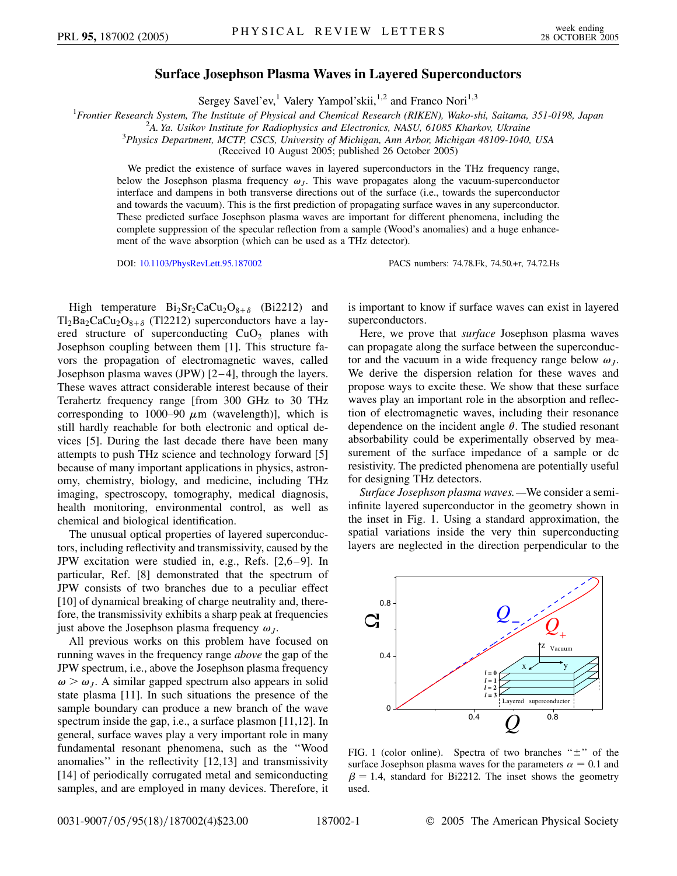## **Surface Josephson Plasma Waves in Layered Superconductors**

Sergey Savel'ev,<sup>1</sup> Valery Yampol'skii,<sup>1,2</sup> and Franco Nori<sup>1,3</sup>

<sup>1</sup> Frontier Research System, The Institute of Physical and Chemical Research (RIKEN), Wako-shi, Saitama, 351-0198, Japan<br><sup>2</sup>A Va, Usikov Institute for Radiophysics and Electronics, NASU, 61085 Kharkov Ukraine

<sup>2</sup>A. Ya. Usikov Institute for Radiophysics and Electronics, NASU, 61085 Kharkov, Ukraine

*Physics Department, MCTP, CSCS, University of Michigan, Ann Arbor, Michigan 48109-1040, USA*

(Received 10 August 2005; published 26 October 2005)

We predict the existence of surface waves in layered superconductors in the THz frequency range, below the Josephson plasma frequency  $\omega_l$ . This wave propagates along the vacuum-superconductor interface and dampens in both transverse directions out of the surface (i.e., towards the superconductor and towards the vacuum). This is the first prediction of propagating surface waves in any superconductor. These predicted surface Josephson plasma waves are important for different phenomena, including the complete suppression of the specular reflection from a sample (Wood's anomalies) and a huge enhancement of the wave absorption (which can be used as a THz detector).

DOI: [10.1103/PhysRevLett.95.187002](http://dx.doi.org/10.1103/PhysRevLett.95.187002) PACS numbers: 74.78.Fk, 74.50.+r, 74.72.Hs

High temperature  $Bi_2Sr_2CaCu_2O_{8+\delta}$  (Bi2212) and  $Tl_2Ba_2CaCu_2O_{8+\delta}$  (Tl2212) superconductors have a layered structure of superconducting  $CuO<sub>2</sub>$  planes with Josephson coupling between them [1]. This structure favors the propagation of electromagnetic waves, called Josephson plasma waves (JPW) [2–4], through the layers. These waves attract considerable interest because of their Terahertz frequency range [from 300 GHz to 30 THz corresponding to  $1000-90 \mu m$  (wavelength)], which is still hardly reachable for both electronic and optical devices [5]. During the last decade there have been many attempts to push THz science and technology forward [5] because of many important applications in physics, astronomy, chemistry, biology, and medicine, including THz imaging, spectroscopy, tomography, medical diagnosis, health monitoring, environmental control, as well as chemical and biological identification.

The unusual optical properties of layered superconductors, including reflectivity and transmissivity, caused by the JPW excitation were studied in, e.g., Refs. [2,6–9]. In particular, Ref. [8] demonstrated that the spectrum of JPW consists of two branches due to a peculiar effect [10] of dynamical breaking of charge neutrality and, therefore, the transmissivity exhibits a sharp peak at frequencies just above the Josephson plasma frequency  $\omega_I$ .

All previous works on this problem have focused on running waves in the frequency range *above* the gap of the JPW spectrum, i.e., above the Josephson plasma frequency  $\omega > \omega_J$ . A similar gapped spectrum also appears in solid state plasma [11]. In such situations the presence of the sample boundary can produce a new branch of the wave spectrum inside the gap, i.e., a surface plasmon [11,12]. In general, surface waves play a very important role in many fundamental resonant phenomena, such as the ''Wood anomalies'' in the reflectivity [12,13] and transmissivity [14] of periodically corrugated metal and semiconducting samples, and are employed in many devices. Therefore, it

is important to know if surface waves can exist in layered superconductors.

Here, we prove that *surface* Josephson plasma waves can propagate along the surface between the superconductor and the vacuum in a wide frequency range below  $\omega_I$ . We derive the dispersion relation for these waves and propose ways to excite these. We show that these surface waves play an important role in the absorption and reflection of electromagnetic waves, including their resonance dependence on the incident angle  $\theta$ . The studied resonant absorbability could be experimentally observed by measurement of the surface impedance of a sample or dc resistivity. The predicted phenomena are potentially useful for designing THz detectors.

*Surface Josephson plasma waves.—*We consider a semiinfinite layered superconductor in the geometry shown in the inset in Fig. 1. Using a standard approximation, the spatial variations inside the very thin superconducting layers are neglected in the direction perpendicular to the



FIG. 1 (color online). Spectra of two branches " $\pm$ " of the surface Josephson plasma waves for the parameters  $\alpha = 0.1$  and  $\beta = 1.4$ , standard for Bi2212. The inset shows the geometry used.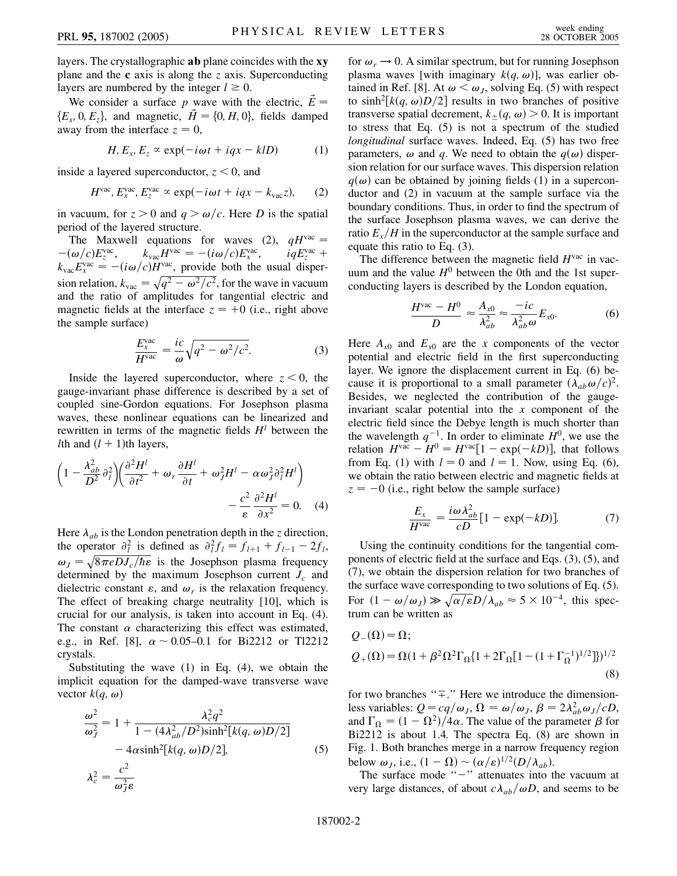layers. The crystallographic **ab** plane coincides with the **xy** plane and the **c** axis is along the *z* axis. Superconducting layers are numbered by the integer  $l \geq 0$ .

We consider a surface p wave with the electric,  $\dot{E}$  =  ${E_x, 0, E_z}$ , and magnetic,  $\vec{H} = \{0, H, 0\}$ , fields damped away from the interface  $z = 0$ ,

$$
H, E_x, E_z \propto \exp(-i\omega t + iqx - kID) \tag{1}
$$

inside a layered superconductor, *z <* 0, and

$$
Hvac, Exvac, Ezvac \propto \exp(-i\omega t + iqx - kvacz), \qquad (2)
$$

in vacuum, for  $z > 0$  and  $q > \omega/c$ . Here *D* is the spatial period of the layered structure.

The Maxwell equations for waves (2),  $qH<sup>vac</sup>$  =  $-(\omega/c)E_z^{\text{vac}}$ ,  $k_{\text{vac}}H^{\text{vac}} = -(i\omega/c)E_x^{\text{vac}}$ ,  $iqE_z^{\text{vac}} +$  $k_{\text{vac}} E_x^{\text{vac}} = -(i\omega/c)H^{\text{vac}}$ , provide both the usual dispersion relation,  $k_{\text{vac}} = \sqrt{q^2 - \omega^2/c^2}$ , for the wave in vacuum and the ratio of amplitudes for tangential electric and magnetic fields at the interface  $z = +0$  (i.e., right above the sample surface)

$$
\frac{E_x^{\text{vac}}}{H^{\text{vac}}} = \frac{ic}{\omega} \sqrt{q^2 - \omega^2/c^2}.
$$
 (3)

Inside the layered superconductor, where  $z < 0$ , the gauge-invariant phase difference is described by a set of coupled sine-Gordon equations. For Josephson plasma waves, these nonlinear equations can be linearized and rewritten in terms of the magnetic fields  $H^l$  between the *l*th and  $(l + 1)$ th layers,

$$
\left(1 - \frac{\lambda_{ab}^2}{D^2} \partial_l^2\right) \left(\frac{\partial^2 H^l}{\partial t^2} + \omega_r \frac{\partial H^l}{\partial t} + \omega_J^2 H^l - \alpha \omega_J^2 \partial_l^2 H^l\right) - \frac{c^2}{\varepsilon} \frac{\partial^2 H^l}{\partial x^2} = 0.
$$
 (4)

Here  $\lambda_{ab}$  is the London penetration depth in the *z* direction, the operator  $\partial_l^2$  is defined as  $\partial_l^2 f_l = f_{l+1} + f_{l-1} - 2f_l$ ,  $\omega_J = \sqrt{8\pi e D J_c/\hbar \epsilon}$  is the Josephson plasma frequency determined by the maximum Josephson current  $J_c$  and dielectric constant  $\varepsilon$ , and  $\omega_r$  is the relaxation frequency. The effect of breaking charge neutrality [10], which is crucial for our analysis, is taken into account in Eq. (4). The constant  $\alpha$  characterizing this effect was estimated, e.g., in Ref. [8],  $\alpha \sim 0.05{\text -}0.1$  for Bi2212 or Tl2212 crystals.

Substituting the wave  $(1)$  in Eq.  $(4)$ , we obtain the implicit equation for the damped-wave transverse wave vector  $k(q, \omega)$ 

$$
\frac{\omega^2}{\omega_J^2} = 1 + \frac{\lambda_c^2 q^2}{1 - (4\lambda_{ab}^2/D^2)\sinh^2[k(q, \omega)D/2]} - 4\alpha \sinh^2[k(q, \omega)D/2],
$$
\n
$$
\lambda_c^2 = \frac{c^2}{\omega_J^2 \varepsilon}
$$
\n(5)

for  $\omega_r \rightarrow 0$ . A similar spectrum, but for running Josephson plasma waves [with imaginary  $k(q, \omega)$ ], was earlier obtained in Ref. [8]. At  $\omega < \omega_J$ , solving Eq. (5) with respect to  $sinh^2[k(q, \omega)D/2]$  results in two branches of positive transverse spatial decrement,  $k_{\pm}(q, \omega) > 0$ . It is important to stress that Eq. (5) is not a spectrum of the studied *longitudinal* surface waves. Indeed, Eq. (5) has two free parameters,  $\omega$  and *q*. We need to obtain the  $q(\omega)$  dispersion relation for our surface waves. This dispersion relation  $q(\omega)$  can be obtained by joining fields (1) in a superconductor and (2) in vacuum at the sample surface via the boundary conditions. Thus, in order to find the spectrum of the surface Josephson plasma waves, we can derive the ratio  $E_r/H$  in the superconductor at the sample surface and equate this ratio to Eq. (3).

The difference between the magnetic field *H*vac in vacuum and the value  $H^0$  between the 0th and the 1st superconducting layers is described by the London equation,

$$
\frac{H^{\text{vac}} - H^0}{D} \approx \frac{A_{x0}}{\lambda_{ab}^2} \approx \frac{-ic}{\lambda_{ab}^2 \omega} E_{x0}.
$$
 (6)

Here  $A_{x0}$  and  $E_{x0}$  are the *x* components of the vector potential and electric field in the first superconducting layer. We ignore the displacement current in Eq. (6) because it is proportional to a small parameter  $(\lambda_{ab}\omega/c)^2$ . Besides, we neglected the contribution of the gaugeinvariant scalar potential into the *x* component of the electric field since the Debye length is much shorter than the wavelength  $q^{-1}$ . In order to eliminate  $H^0$ , we use the relation  $H<sup>vac</sup> - H<sup>0</sup> = H<sup>vac</sup>[1 - \exp(-kD)],$  that follows from Eq. (1) with  $l = 0$  and  $l = 1$ . Now, using Eq. (6), we obtain the ratio between electric and magnetic fields at  $z = -0$  (i.e., right below the sample surface)

$$
\frac{E_x}{H^{\text{vac}}} = \frac{i\omega\lambda_{ab}^2}{cD} [1 - \exp(-kD)].\tag{7}
$$

Using the continuity conditions for the tangential components of electric field at the surface and Eqs. (3), (5), and (7), we obtain the dispersion relation for two branches of the surface wave corresponding to two solutions of Eq. (5). For  $(1 - \omega/\omega_J) \gg \sqrt{\alpha/\epsilon} D/\lambda_{ab} \approx 5 \times 10^{-4}$ , this spectrum can be written as

$$
Q_{-}(\Omega) = \Omega;
$$
  
\n
$$
Q_{+}(\Omega) = \Omega(1 + \beta^{2} \Omega^{2} \Gamma_{\Omega} \{1 + 2\Gamma_{\Omega} [1 - (1 + \Gamma_{\Omega}^{-1})^{1/2}]\})^{1/2}
$$
\n(8)

for two branches " $\mp$ ." Here we introduce the dimensionless variables:  $Q = cq/ω_J$ ,  $\Omega = ω/ω_J$ ,  $\beta = 2λ_{ab}^2ω_J/cD$ , and  $\Gamma_{\Omega} = (1 - \Omega^2)/4\alpha$ . The value of the parameter  $\beta$  for Bi2212 is about 1.4. The spectra Eq. (8) are shown in Fig. 1. Both branches merge in a narrow frequency region below  $\omega_j$ , i.e.,  $(1 - \Omega) \sim (\alpha/\varepsilon)^{1/2} (D/\lambda_{ab})$ .

The surface mode " $-$ " attenuates into the vacuum at very large distances, of about  $c\lambda_{ab}/\omega D$ , and seems to be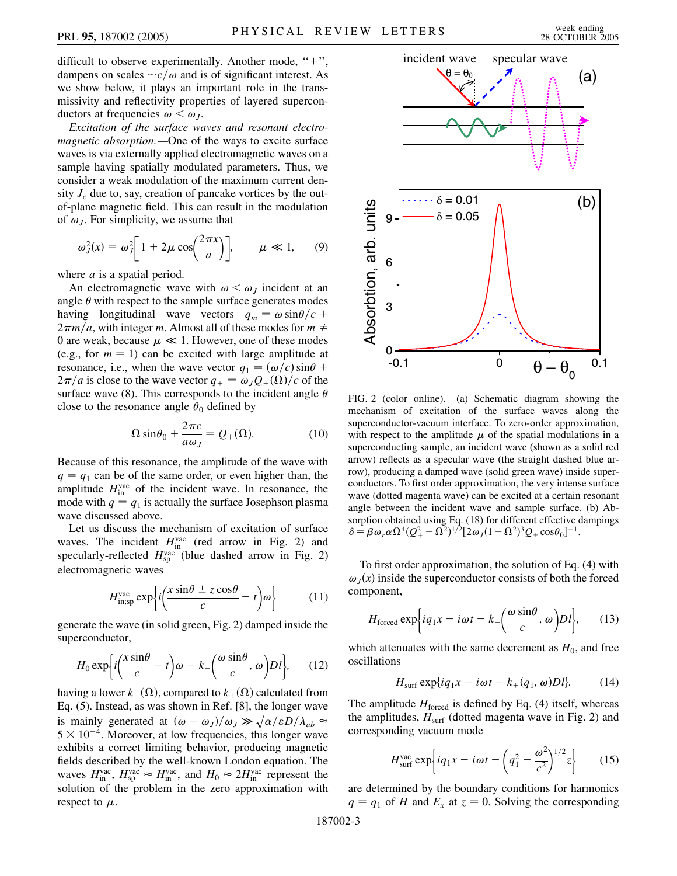difficult to observe experimentally. Another mode, " $+$ ", dampens on scales  $\sim c/\omega$  and is of significant interest. As we show below, it plays an important role in the transmissivity and reflectivity properties of layered superconductors at frequencies  $\omega < \omega_I$ .

*Excitation of the surface waves and resonant electromagnetic absorption.—*One of the ways to excite surface waves is via externally applied electromagnetic waves on a sample having spatially modulated parameters. Thus, we consider a weak modulation of the maximum current density  $J_c$  due to, say, creation of pancake vortices by the outof-plane magnetic field. This can result in the modulation of  $\omega_j$ . For simplicity, we assume that

$$
\omega_j^2(x) = \omega_j^2 \left[ 1 + 2\mu \cos\left(\frac{2\pi x}{a}\right) \right], \qquad \mu \ll 1,
$$
 (9)

where *a* is a spatial period.

An electromagnetic wave with  $\omega \leq \omega_I$  incident at an angle  $\theta$  with respect to the sample surface generates modes having longitudinal wave vectors  $q_m = \omega \sin{\theta}/c +$  $2\pi m/a$ , with integer *m*. Almost all of these modes for  $m \neq$ 0 are weak, because  $\mu \ll 1$ . However, one of these modes (e.g., for  $m = 1$ ) can be excited with large amplitude at resonance, i.e., when the wave vector  $q_1 = (\omega/c) \sin \theta +$  $2\pi/a$  is close to the wave vector  $q_+ = \omega_J Q_+(\Omega)/c$  of the surface wave (8). This corresponds to the incident angle  $\theta$ close to the resonance angle  $\theta_0$  defined by

$$
\Omega \sin \theta_0 + \frac{2\pi c}{a\omega_J} = Q_+(\Omega). \tag{10}
$$

Because of this resonance, the amplitude of the wave with  $q = q_1$  can be of the same order, or even higher than, the amplitude  $H_{\text{in}}^{\text{vac}}$  of the incident wave. In resonance, the mode with  $q = q_1$  is actually the surface Josephson plasma wave discussed above.

Let us discuss the mechanism of excitation of surface waves. The incident  $H_{\text{in}}^{\text{vac}}$  (red arrow in Fig. 2) and specularly-reflected  $H_{\rm sp}^{\rm vac}$  (blue dashed arrow in Fig. 2) electromagnetic waves

$$
H_{\text{in},\text{sp}}^{\text{vac}} \exp\left\{ i \left( \frac{x \sin \theta \pm z \cos \theta}{c} - t \right) \omega \right\} \tag{11}
$$

generate the wave (in solid green, Fig. 2) damped inside the superconductor,

$$
H_0 \exp\left\{i\left(\frac{x\sin\theta}{c} - t\right)\omega - k - \left(\frac{\omega\sin\theta}{c}, \omega\right)Dl\right\},\qquad(12)
$$

having a lower  $k_-(\Omega)$ , compared to  $k_+(\Omega)$  calculated from Eq. (5). Instead, as was shown in Ref. [8], the longer wave is mainly generated at  $(\omega - \omega_J)/\omega_J \gg \sqrt{\alpha/\epsilon}D/\lambda_{ab} \approx$  $5 \times 10^{-4}$ . Moreover, at low frequencies, this longer wave exhibits a correct limiting behavior, producing magnetic fields described by the well-known London equation. The waves  $H_{\text{in}}^{\text{vac}}$ ,  $H_{\text{sp}}^{\text{vac}} \approx H_{\text{in}}^{\text{vac}}$ , and  $H_0 \approx 2H_{\text{in}}^{\text{vac}}$  represent the solution of the problem in the zero approximation with respect to  $\mu$ .



FIG. 2 (color online). (a) Schematic diagram showing the mechanism of excitation of the surface waves along the superconductor-vacuum interface. To zero-order approximation, with respect to the amplitude  $\mu$  of the spatial modulations in a superconducting sample, an incident wave (shown as a solid red arrow) reflects as a specular wave (the straight dashed blue arrow), producing a damped wave (solid green wave) inside superconductors. To first order approximation, the very intense surface wave (dotted magenta wave) can be excited at a certain resonant angle between the incident wave and sample surface. (b) Absorption obtained using Eq. (18) for different effective dampings  $\delta = \beta \omega_r \alpha \Omega^4 (Q_+^2 - \Omega^2)^{1/2} [2 \omega_J (1 - \Omega^2)^3 Q_+ \cos \theta_0]^{-1}.$ 

To first order approximation, the solution of Eq. (4) with  $\omega_I(x)$  inside the superconductor consists of both the forced component,

$$
H_{\text{forced}} \exp\biggl\{ i q_1 x - i \omega t - k_-\biggl( \frac{\omega \sin \theta}{c}, \omega \biggr) D l \biggr\},\qquad(13)
$$

which attenuates with the same decrement as  $H_0$ , and free oscillations

$$
H_{\text{surf}} \exp\{iq_1x - i\omega t - k_+(q_1, \omega)Dl\}.
$$
 (14)

The amplitude  $H_{\text{forced}}$  is defined by Eq. (4) itself, whereas the amplitudes,  $H_{\text{surf}}$  (dotted magenta wave in Fig. 2) and corresponding vacuum mode

$$
H_{\text{surf}}^{\text{vac}} \exp \left\{ i q_1 x - i \omega t - \left( q_1^2 - \frac{\omega^2}{c^2} \right)^{1/2} z \right\} \tag{15}
$$

are determined by the boundary conditions for harmonics  $q = q_1$  of *H* and  $E_x$  at  $z = 0$ . Solving the corresponding